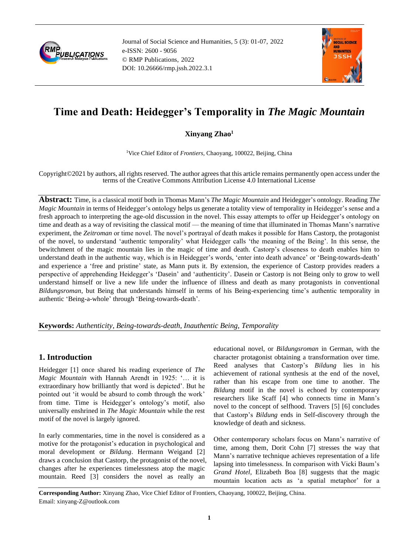

Journal of Social Science and Humanities, 5 (3): 01-07, 2022 e-ISSN: 2600 - 9056 © RMP Publications, 2022 DOI: 10.26666/rmp.jssh.2022.3.1



# **Time and Death: Heidegger's Temporality in** *The Magic Mountain*

## **Xinyang Zhao<sup>1</sup>**

<sup>1</sup>Vice Chief Editor of *Frontiers*, Chaoyang, 100022, Beijing, China

Copyright©2021 by authors, all rights reserved. The author agrees that this article remains permanently open access under the terms of the Creative Commons Attribution License 4.0 International License

**Abstract:** Time, is a classical motif both in Thomas Mann's *The Magic Mountain* and Heidegger's ontology. Reading *The Magic Mountain* in terms of Heidegger's ontology helps us generate a totality view of temporality in Heidegger's sense and a fresh approach to interpreting the age-old discussion in the novel. This essay attempts to offer up Heidegger's ontology on time and death as a way of revisiting the classical motif — the meaning of time that illuminated in Thomas Mann's narrative experiment, the *Zeitroman* or time novel. The novel's portrayal of death makes it possible for Hans Castorp, the protagonist of the novel, to understand 'authentic temporality' what Heidegger calls 'the meaning of the Being'. In this sense, the bewitchment of the magic mountain lies in the magic of time and death. Castorp's closeness to death enables him to understand death in the authentic way, which is in Heidegger's words, 'enter into death advance' or 'Being-towards-death' and experience a 'free and pristine' state, as Mann puts it. By extension, the experience of Castorp provides readers a perspective of apprehending Heidegger's 'Dasein' and 'authenticity'. Dasein or Castorp is not Being only to grow to well understand himself or live a new life under the influence of illness and death as many protagonists in conventional *Bildungsroman*, but Being that understands himself in terms of his Being-experiencing time's authentic temporality in authentic 'Being-a-whole' through 'Being-towards-death'.

### **Keywords:** *Authenticity, Being-towards-death, Inauthentic Being, Temporality*

## **1. Introduction**

Heidegger [1] once shared his reading experience of *The Magic Mountain* with Hannah Arendt in 1925: '… it is extraordinary how brilliantly that word is depicted'. But he pointed out 'it would be absurd to comb through the work' from time. Time is Heidegger's ontology's motif, also universally enshrined in *The Magic Mountain* while the rest motif of the novel is largely ignored.

In early commentaries, time in the novel is considered as a motive for the protagonist's education in psychological and moral development or *Bildung*. Hermann Weigand [2] draws a conclusion that Castorp, the protagonist of the novel, changes after he experiences timelessness atop the magic mountain. Reed [3] considers the novel as really an

educational novel, or *Bildungsroman* in German, with the character protagonist obtaining a transformation over time. Reed analyses that Castorp's *Bildung* lies in his achievement of rational synthesis at the end of the novel, rather than his escape from one time to another. The *Bildung* motif in the novel is echoed by contemporary researchers like Scaff [4] who connects time in Mann's novel to the concept of selfhood. Travers [5] [6] concludes that Castorp's *Bildung* ends in Self-discovery through the knowledge of death and sickness.

Other contemporary scholars focus on Mann's narrative of time, among them, Dorit Cohn [7] stresses the way that Mann's narrative technique achieves representation of a life lapsing into timelessness. In comparison with Vicki Baum's *Grand Hotel*, Elizabeth Boa [8] suggests that the magic mountain location acts as 'a spatial metaphor' for a

**Corresponding Author:** Xinyang Zhao, Vice Chief Editor of Frontiers, Chaoyang, 100022, Beijing, China. Email: xinyang-Z@outlook.com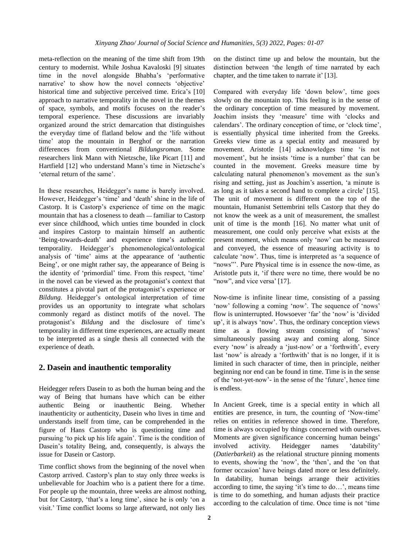meta-reflection on the meaning of the time shift from 19th century to modernist. While Joshua Kavaloski [9] situates time in the novel alongside Bhabha's 'performative narrative' to show how the novel connects 'objective' historical time and subjective perceived time. Erica's [10] approach to narrative temporality in the novel in the themes of space, symbols, and motifs focuses on the reader's temporal experience. These discussions are invariably organized around the strict demarcation that distinguishes the everyday time of flatland below and the 'life without time' atop the mountain in Berghof or the narration differences from conventional *Bildungsroman*. Some researchers link Mann with Nietzsche, like Picart [11] and Hartfield [12] who understand Mann's time in Nietzsche's 'eternal return of the same'.

In these researches, Heidegger's name is barely involved. However, Heidegger's 'time' and 'death' shine in the life of Castorp. It is Castorp's experience of time on the magic mountain that has a closeness to death **—** familiar to Castorp ever since childhood, which unties time bounded in clock and inspires Castorp to maintain himself an authentic 'Being-towards-death' and experience time's authentic temporality. Heidegger's phenomenological/ontological analysis of 'time' aims at the appearance of 'authentic Being', or one might rather say, the appearance of Being is the identity of 'primordial' time. From this respect, 'time' in the novel can be viewed as the protagonist's context that constitutes a pivotal part of the protagonist's experience or *Bildung*. Heidegger's ontological interpretation of time provides us an opportunity to integrate what scholars commonly regard as distinct motifs of the novel. The protagonist's *Bildung* and the disclosure of time's temporality in different time experiences, are actually meant to be interpreted as a single thesis all connected with the experience of death.

#### **2. Dasein and inauthentic temporality**

Heidegger refers Dasein to as both the human being and the way of Being that humans have which can be either authentic Being or inauthentic Being. Whether inauthenticity or authenticity, Dasein who lives in time and understands itself from time, can be comprehended in the figure of Hans Castorp who is questioning time and pursuing 'to pick up his life again'. Time is the condition of Dasein's totality Being, and, consequently, is always the issue for Dasein or Castorp.

Time conflict shows from the beginning of the novel when Castorp arrived. Castorp's plan to stay only three weeks is unbelievable for Joachim who is a patient there for a time. For people up the mountain, three weeks are almost nothing, but for Castorp, 'that's a long time', since he is only 'on a visit.' Time conflict looms so large afterward, not only lies

on the distinct time up and below the mountain, but the distinction between 'the length of time narrated by each chapter, and the time taken to narrate it' [13].

Compared with everyday life 'down below', time goes slowly on the mountain top. This feeling is in the sense of the ordinary conception of time measured by movement. Joachim insists they 'measure' time with 'clocks and calendars'. The ordinary conception of time, or 'clock time', is essentially physical time inherited from the Greeks. Greeks view time as a special entity and measured by movement. Aristotle [14] acknowledges time 'is not movement', but he insists 'time is a number' that can be counted in the movement. Greeks measure time by calculating natural phenomenon's movement as the sun's rising and setting, just as Joachim's assertion, 'a minute is as long as it takes a second hand to complete a circle' [15]. The unit of movement is different on the top of the mountain, Humanist Settembrini tells Castorp that they do not know the week as a unit of measurement, the smallest unit of time is the month [16]. No matter what unit of measurement, one could only perceive what exists at the present moment, which means only 'now' can be measured and conveyed, the essence of measuring activity is to calculate 'now'. Thus, time is interpreted as 'a sequence of "nows"'. Pure Physical time is in essence the now-time, as Aristotle puts it, 'if there were no time, there would be no "now", and vice versa' [17].

Now-time is infinite linear time, consisting of a passing 'now' following a coming 'now'. The sequence of 'nows' flow is uninterrupted. Howsoever 'far' the 'now' is 'divided up', it is always 'now'. Thus, the ordinary conception views time as a flowing stream consisting of 'nows' simultaneously passing away and coming along. Since every 'now' is already a 'just-now' or a 'forthwith', every last 'now' is already a 'forthwith' that is no longer, if it is limited in such character of time, then in principle, neither beginning nor end can be found in time. Time is in the sense of the 'not-yet-now'- in the sense of the 'future', hence time is endless.

In Ancient Greek, time is a special entity in which all entities are presence, in turn, the counting of 'Now-time' relies on entities in reference showed in time. Therefore, time is always occupied by things concerned with ourselves. Moments are given significance concerning human beings' involved activity. Heidegger names 'datability' (*Datierbarkeit*) as the relational structure pinning moments to events, showing the 'now', the 'then', and the 'on that former occasion' have beings dated more or less definitely. In datability, human beings arrange their activities according to time, the saying 'it's time to do…', means time is time to do something, and human adjusts their practice according to the calculation of time. Once time is not 'time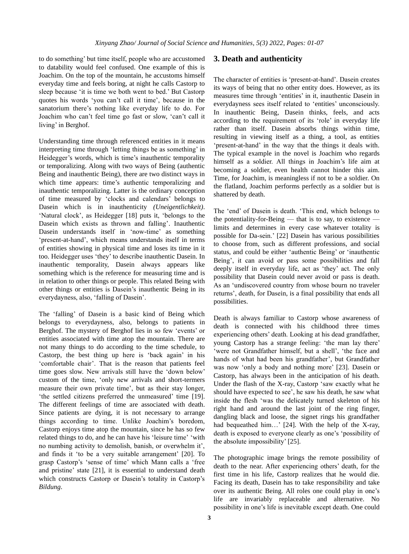to do something' but time itself, people who are accustomed to datability would feel confused. One example of this is Joachim. On the top of the mountain, he accustoms himself everyday time and feels boring, at night he calls Castorp to sleep because 'it is time we both went to bed.' But Castorp quotes his words 'you can't call it time', because in the sanatorium there's nothing like everyday life to do. For Joachim who can't feel time go fast or slow, 'can't call it living' in Berghof.

Understanding time through referenced entities in it means interpreting time through 'letting things be as something' in Heidegger's words, which is time's inauthentic temporality or temporalizing. Along with two ways of Being (authentic Being and inauthentic Being), there are two distinct ways in which time appears: time's authentic temporalizing and inauthentic temporalizing. Latter is the ordinary conception of time measured by 'clocks and calendars' belongs to Dasein which is in inauthenticity *(Uneigentlichkeit)*. 'Natural clock', as Heidegger [18] puts it, 'belongs to the Dasein which exists as thrown and falling'. Inauthentic Dasein understands itself in 'now-time' as something 'present-at-hand', which means understands itself in terms of entities showing in physical time and loses its time in it too. Heidegger uses 'they' to describe inauthentic Dasein. In inauthentic temporality, Dasein always appears like something which is the reference for measuring time and is in relation to other things or people. This related Being with other things or entities is Dasein's inauthentic Being in its everydayness, also, 'falling of Dasein'.

The 'falling' of Dasein is a basic kind of Being which belongs to everydayness, also, belongs to patients in Berghof. The mystery of Berghof lies in so few 'events' or entities associated with time atop the mountain. There are not many things to do according to the time schedule, to Castorp, the best thing up here is 'back again' in his 'comfortable chair'. That is the reason that patients feel time goes slow. New arrivals still have the 'down below' custom of the time, 'only new arrivals and short-termers measure their own private time', but as their stay longer, 'the settled citizens preferred the unmeasured' time [19]. The different feelings of time are associated with death. Since patients are dying, it is not necessary to arrange things according to time. Unlike Joachim's boredom, Castorp enjoys time atop the mountain, since he has so few related things to do, and he can have his 'leisure time' 'with no numbing activity to demolish, banish, or overwhelm it', and finds it 'to be a very suitable arrangement' [20]. To grasp Castorp's 'sense of time' which Mann calls a 'free and pristine' state [21], it is essential to understand death which constructs Castorp or Dasein's totality in Castorp's *Bildung*.

#### **3. Death and authenticity**

The character of entities is 'present-at-hand'. Dasein creates its ways of being that no other entity does. However, as its measures time through 'entities' in it, inauthentic Dasein in everydayness sees itself related to 'entities' unconsciously. In inauthentic Being, Dasein thinks, feels, and acts according to the requirement of its 'role' in everyday life rather than itself. Dasein absorbs things within time, resulting in viewing itself as a thing, a tool, as entities 'present-at-hand' in the way that the things it deals with. The typical example in the novel is Joachim who regards himself as a soldier. All things in Joachim's life aim at becoming a soldier, even health cannot hinder this aim. Time, for Joachim, is meaningless if not to be a soldier. On the flatland, Joachim performs perfectly as a soldier but is shattered by death.

The 'end' of Dasein is death. 'This end, which belongs to the potentiality-for-Being — that is to say, to existence limits and determines in every case whatever totality is possible for Da-sein.' [22] Dasein has various possibilities to choose from, such as different professions, and social status, and could be either 'authentic Being' or 'inauthentic Being', it can avoid or pass some possibilities and fall deeply itself in everyday life, act as 'they' act. The only possibility that Dasein could never avoid or pass is death. As an 'undiscovered country from whose bourn no traveler returns', death, for Dasein, is a final possibility that ends all possibilities.

Death is always familiar to Castorp whose awareness of death is connected with his childhood three times experiencing others' death. Looking at his dead grandfather, young Castorp has a strange feeling: 'the man lay there' 'were not Grandfather himself, but a shell', 'the face and hands of what had been his grandfather', but Grandfather was now 'only a body and nothing more' [23]. Dasein or Castorp, has always been in the anticipation of his death. Under the flash of the X-ray, Castorp 'saw exactly what he should have expected to see', he saw his death, he saw what inside the flesh 'was the delicately turned skeleton of his right hand and around the last joint of the ring finger, dangling black and loose, the signet rings his grandfather had bequeathed him…' [24]. With the help of the X-ray, death is exposed to everyone clearly as one's 'possibility of the absolute impossibility' [25].

The photographic image brings the remote possibility of death to the near. After experiencing others' death, for the first time in his life, Castorp realizes that he would die. Facing its death, Dasein has to take responsibility and take over its authentic Being. All roles one could play in one's life are invariably replaceable and alternative. No possibility in one's life is inevitable except death. One could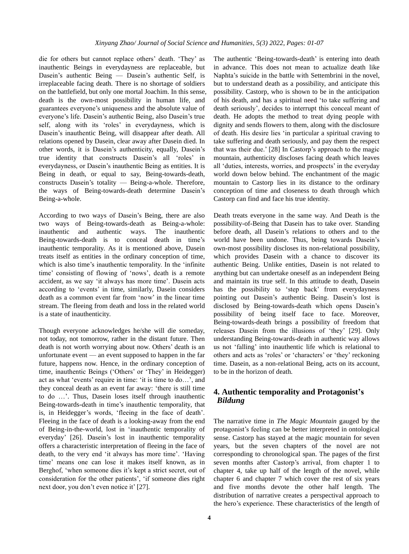die for others but cannot replace others' death. 'They' as inauthentic Beings in everydayness are replaceable, but Dasein's authentic Being — Dasein's authentic Self, is irreplaceable facing death. There is no shortage of soldiers on the battlefield, but only one mortal Joachim. In this sense, death is the own-most possibility in human life, and guarantees everyone's uniqueness and the absolute value of everyone's life. Dasein's authentic Being, also Dasein's true self, along with its 'roles' in everydayness, which is Dasein's inauthentic Being, will disappear after death. All relations opened by Dasein, clear away after Dasein died. In other words, it is Dasein's authenticity, equally, Dasein's true identity that constructs Dasein's all 'roles' in everydayness, or Dasein's inauthentic Being as entities. It is Being in death, or equal to say, Being-towards-death, constructs Dasein's totality — Being-a-whole. Therefore, the ways of Being-towards-death determine Dasein's Being-a-whole.

According to two ways of Dasein's Being, there are also two ways of Being-towards-death as Being-a-whole: inauthentic and authentic ways. The inauthentic Being-towards-death is to conceal death in time's inauthentic temporality. As it is mentioned above, Dasein treats itself as entities in the ordinary conception of time, which is also time's inauthentic temporality. In the 'infinite time' consisting of flowing of 'nows', death is a remote accident, as we say 'it always has more time'. Dasein acts according to 'events' in time, similarly, Dasein considers death as a common event far from 'now' in the linear time stream. The fleeing from death and loss in the related world is a state of inauthenticity.

Though everyone acknowledges he/she will die someday, not today, not tomorrow, rather in the distant future. Then death is not worth worrying about now. Others' death is an unfortunate event — an event supposed to happen in the far future, happens now. Hence, in the ordinary conception of time, inauthentic Beings ('Others' or 'They' in Heidegger) act as what 'events' require in time: 'it is time to do…', and they conceal death as an event far away: 'there is still time to do …'. Thus, Dasein loses itself through inauthentic Being-towards-death in time's inauthentic temporality, that is, in Heidegger's words, 'fleeing in the face of death'. Fleeing in the face of death is a looking-away from the end of Being-in-the-world, lost in 'inauthentic temporality of everyday' [26]. Dasein's lost in inauthentic temporality offers a characteristic interpretation of fleeing in the face of death, to the very end 'it always has more time'. 'Having time' means one can lose it makes itself known, as in Berghof, 'when someone dies it's kept a strict secret, out of consideration for the other patients', 'if someone dies right next door, you don't even notice it' [27].

The authentic 'Being-towards-death' is entering into death in advance. This does not mean to actualize death like Naphta's suicide in the battle with Settembrini in the novel, but to understand death as a possibility, and anticipate this possibility. Castorp, who is shown to be in the anticipation of his death, and has a spiritual need 'to take suffering and death seriously', decides to interrupt this conceal meant of death. He adopts the method to treat dying people with dignity and sends flowers to them, along with the disclosure of death. His desire lies 'in particular a spiritual craving to take suffering and death seriously, and pay them the respect that was their due.' [28] In Castorp's approach to the magic mountain, authenticity discloses facing death which leaves all 'duties, interests, worries, and prospects' in the everyday world down below behind. The enchantment of the magic mountain to Castorp lies in its distance to the ordinary conception of time and closeness to death through which Castorp can find and face his true identity.

Death treats everyone in the same way. And Death is the possibility-of-Being that Dasein has to take over. Standing before death, all Dasein's relations to others and to the world have been undone. Thus, being towards Dasein's own-most possibility discloses its non-relational possibility, which provides Dasein with a chance to discover its authentic Being. Unlike entities, Dasein is not related to anything but can undertake oneself as an independent Being and maintain its true self. In this attitude to death, Dasein has the possibility to 'step back' from everydayness pointing out Dasein's authentic Being. Dasein's lost is disclosed by Being-towards-death which opens Dasein's possibility of being itself face to face. Moreover, Being-towards-death brings a possibility of freedom that releases Dasein from the illusions of 'they' [29]. Only understanding Being-towards-death in authentic way allows us not 'falling' into inauthentic life which is relational to others and acts as 'roles' or 'characters' or 'they' reckoning time. Dasein, as a non-relational Being, acts on its account, to be in the horizon of death.

## **4. Authentic temporality and Protagonist's**  *Bildung*

The narrative time in *The Magic Mountain* gauged by the protagonist's feeling can be better interpreted in ontological sense. Castorp has stayed at the magic mountain for seven years, but the seven chapters of the novel are not corresponding to chronological span. The pages of the first seven months after Castorp's arrival, from chapter 1 to chapter 4, take up half of the length of the novel, while chapter 6 and chapter 7 which cover the rest of six years and five months devote the other half length. The distribution of narrative creates a perspectival approach to the hero's experience. These characteristics of the length of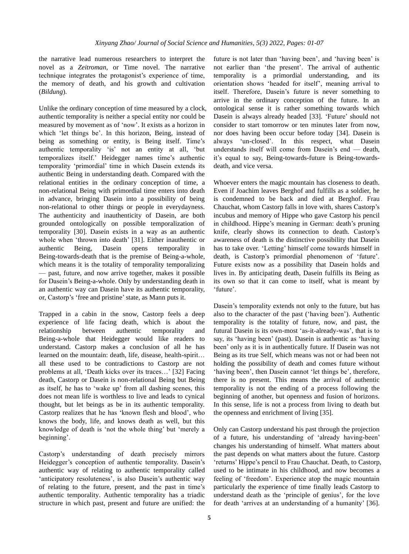the narrative lead numerous researchers to interpret the novel as a *Zeitroman*, or Time novel. The narrative technique integrates the protagonist's experience of time, the memory of death, and his growth and cultivation (*Bildung*).

Unlike the ordinary conception of time measured by a clock, authentic temporality is neither a special entity nor could be measured by movement as of 'now'. It exists as a horizon in which 'let things be'. In this horizon, Being, instead of being as something or entity, is Being itself. Time's authentic temporality 'is' not an entity at all, 'but temporalizes itself.' Heidegger names time's authentic temporality 'primordial' time in which Dasein extends its authentic Being in understanding death. Compared with the relational entities in the ordinary conception of time, a non-relational Being with primordial time enters into death in advance, bringing Dasein into a possibility of being non-relational to other things or people in everydayness. The authenticity and inauthenticity of Dasein, are both grounded ontologically on possible temporalization of temporality [30]. Dasein exists in a way as an authentic whole when 'thrown into death' [31]. Either inauthentic or authentic Being, Dasein opens temporality in Being-towards-death that is the premise of Being-a-whole, which means it is the totality of temporality temporalizing — past, future, and now arrive together, makes it possible for Dasein's Being-a-whole. Only by understanding death in an authentic way can Dasein have its authentic temporality, or, Castorp's 'free and pristine'state, as Mann puts it.

Trapped in a cabin in the snow, Castorp feels a deep experience of life facing death, which is about the relationship between authentic temporality and Being-a-whole that Heidegger would like readers to understand. Castorp makes a conclusion of all he has learned on the mountain: death, life, disease, health-spirit… all these used to be contradictions to Castorp are not problems at all, 'Death kicks over its traces…' [32] Facing death, Castorp or Dasein is non-relational Being but Being as itself, he has to 'wake up' from all dashing scenes, this does not mean life is worthless to live and leads to cynical thought, but let beings as be in its authentic temporality. Castorp realizes that he has 'known flesh and blood', who knows the body, life, and knows death as well, but this knowledge of death is 'not the whole thing' but 'merely a beginning'.

Castorp's understanding of death precisely mirrors Heidegger's conception of authentic temporality. Dasein's authentic way of relating to authentic temporality called 'anticipatory resoluteness', is also Dasein's authentic way of relating to the future, present, and the past in time's authentic temporality. Authentic temporality has a triadic structure in which past, present and future are unified: the future is not later than 'having been', and 'having been' is not earlier than 'the present'. The arrival of authentic temporality is a primordial understanding, and its orientation shows 'headed for itself', meaning arrival to itself. Therefore, Dasein's future is never something to arrive in the ordinary conception of the future. In an ontological sense it is rather something towards which Dasein is always already headed [33]. 'Future' should not consider to start tomorrow or ten minutes later from now, nor does having been occur before today [34]. Dasein is always 'un-closed'. In this respect, what Dasein understands itself will come from Dasein's end — death, it's equal to say, Being-towards-future is Being-towardsdeath, and vice versa.

Whoever enters the magic mountain has closeness to death. Even if Joachim leaves Berghof and fulfills as a soldier, he is condemned to be back and died at Berghof. Frau Chauchat, whom Castorp falls in love with, shares Castorp's incubus and memory of Hippe who gave Castorp his pencil in childhood. Hippe's meaning in German: death's pruning knife, clearly shows its connection to death. Castorp's awareness of death is the distinctive possibility that Dasein has to take over. 'Letting' himself come towards himself in death, is Castorp's primordial phenomenon of 'future'. Future exists now as a possibility that Dasein holds and lives in. By anticipating death, Dasein fulfills its Being as its own so that it can come to itself, what is meant by 'future'.

Dasein's temporality extends not only to the future, but has also to the character of the past ('having been'). Authentic temporality is the totality of future, now, and past, the futural Dasein is its own-most 'as-it-already-was', that is to say, its 'having been' (past). Dasein is authentic as 'having been' only as it is in authentically future. If Dasein was not Being as its true Self, which means was not or had been not holding the possibility of death and comes future without 'having been', then Dasein cannot 'let things be', therefore, there is no present. This means the arrival of authentic temporality is not the ending of a process following the beginning of another, but openness and fusion of horizons. In this sense, life is not a process from living to death but the openness and enrichment of living [35].

Only can Castorp understand his past through the projection of a future, his understanding of 'already having-been' changes his understanding of himself. What matters about the past depends on what matters about the future. Castorp 'returns' Hippe's pencil to Frau Chauchat. Death, to Castorp, used to be intimate in his childhood, and now becomes a feeling of 'freedom'. Experience atop the magic mountain particularly the experience of time finally leads Castorp to understand death as the 'principle of genius', for the love for death 'arrives at an understanding of a humanity' [36].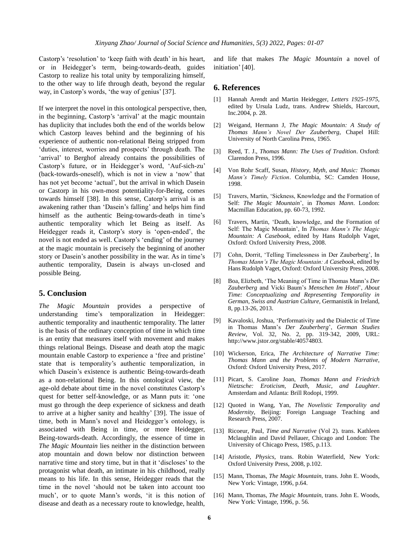Castorp's 'resolution' to 'keep faith with death' in his heart, or in Heidegger's term, being-towards-death, guides Castorp to realize his total unity by temporalizing himself, to the other way to life through death, beyond the regular way, in Castorp's words, 'the way of genius' [37].

If we interpret the novel in this ontological perspective, then, in the beginning, Castorp's 'arrival' at the magic mountain has duplicity that includes both the end of the worlds below which Castorp leaves behind and the beginning of his experience of authentic non-relational Being stripped from 'duties, interest, worries and prospects' through death. The 'arrival' to Berghof already contains the possibilities of Castorp's future, or in Heidegger's word, 'Auf-sich-zu' (back-towards-oneself), which is not in view a 'now' that has not yet become 'actual', but the arrival in which Dasein or Castorp in his own-most potentiality-for-Being, comes towards himself [38]. In this sense, Catorp's arrival is an awakening rather than 'Dasein's falling' and helps him find himself as the authentic Being-towards-death in time's authentic temporality which let Being as itself. As Heidegger reads it, Castorp's story is 'open-ended', the novel is not ended as well. Castorp's 'ending' of the journey at the magic mountain is precisely the beginning of another story or Dasein's another possibility in the war. As in time's authentic temporality, Dasein is always un-closed and possible Being.

#### **5. Conclusion**

*The Magic Mountain* provides a perspective of understanding time's temporalization in Heidegger: authentic temporality and inauthentic temporality. The latter is the basis of the ordinary conception of time in which time is an entity that measures itself with movement and makes things relational Beings. Disease and death atop the magic mountain enable Castorp to experience a 'free and pristine' state that is temporality's authentic temporalization, in which Dasein's existence is authentic Being-towards-death as a non-relational Being. In this ontological view, the age-old debate about time in the novel constitutes Castorp's quest for better self-knowledge, or as Mann puts it: 'one must go through the deep experience of sickness and death to arrive at a higher sanity and healthy' [39]. The issue of time, both in Mann's novel and Heidegger's ontology, is associated with Being in time, or more Heidegger, Being-towards-death. Accordingly, the essence of time in *The Magic Mountain* lies neither in the distinction between atop mountain and down below nor distinction between narrative time and story time, but in that it 'discloses' to the protagonist what death, an intimate in his childhood, really means to his life. In this sense, Heidegger reads that the time in the novel 'should not be taken into account too much', or to quote Mann's words, 'it is this notion of disease and death as a necessary route to knowledge, health,

and life that makes *The Magic Mountain* a novel of initiation' [40].

#### **6. References**

- Hannah Arendt and Martin Heidegger, *Letters 1925-1975*, edited by Ursula Ludz, trans. Andrew Shields, Harcourt, Inc.2004, p. 28.
- [2] Weigand, Hermann J, *The Magic Mountain: A Study of Thomas Mann's Novel Der Zauberberg*, Chapel Hill: University of North Carolina Press, 1965.
- [3] Reed, T. J., *Thomas Mann: The Uses of Tradition*. Oxford: Clarendon Press, 1996.
- [4] Von Rohr Scaff, Susan, *History, Myth, and Music: Thomas Mann's Timely Fiction*. Columbia, SC: Camden House, 1998.
- [5] Travers, Martin, 'Sickness, Knowledge and the Formation of Self: *The Magic Mountain*', in *Thomas Mann*. London: Macmillan Education, pp. 60-73, 1992.
- [6] Travers, Martin, 'Death, knowledge, and the Formation of Self: The Magic Mountain', In *Thomas Mann's The Magic Mountain: A Casebook*, edited by Hans Rudolph Vaget, Oxford: Oxford University Press, 2008.
- [7] Cohn, Dorrit, 'Telling Timelessness in Der Zauberberg', In *Thomas Mann's The Magic Mountain: A Casebook*, edited by Hans Rudolph Vaget, Oxford: Oxford University Press, 2008.
- [8] Boa, Elizbeth, 'The Meaning of Time in Thomas Mann's *Der Zauberberg* and Vicki Baum's *Menschen Im Hotel*', *About Time: Conceptualizing and Representing Temporality in German*, *Swiss and Austrian Culture*, Germanistik in Ireland, 8, pp.13-26, 2013.
- [9] Kavaloski, Joshua, 'Performativity and the Dialectic of Time in Thomas Mann's *Der Zauberberg*', *German Studies Review*, Vol. 32, No. 2, pp. 319-342, 2009, URL: http://www.jstor.org/stable/40574803.
- [10] Wickerson, Erica, *The Architecture of Narrative Time: Thomas Mann and the Problems of Modern Narrative*, Oxford: Oxford University Press, 2017.
- [11] Picart, S. Caroline Joan, *Thomas Mann and Friedrich Nietzsche: Eroticism, Death, Music, and Laughter*. Amsterdam and Atlanta: Brill Rodopi, 1999.
- [12] Quoted in Wang, Yan, *The Novelistic Temporality and Modernity*, Beijing: Foreign Language Teaching and Research Press, 2007.
- [13] Ricoeur, Paul, *Time and Narrative* (Vol 2). trans. Kathleen Mclaughlin and David Pellauer, Chicago and London: The University of Chicago Press, 1985, p.113.
- [14] Aristotle, *Physics*, trans. Robin Waterfield, New York: Oxford University Press, 2008, p.102.
- [15] Mann, Thomas, *The Magic Mountain*, trans. John E. Woods, New York: Vintage, 1996, p.64.
- [16] Mann, Thomas, *The Magic Mountain*, trans. John E. Woods, New York: Vintage, 1996, p. 56.